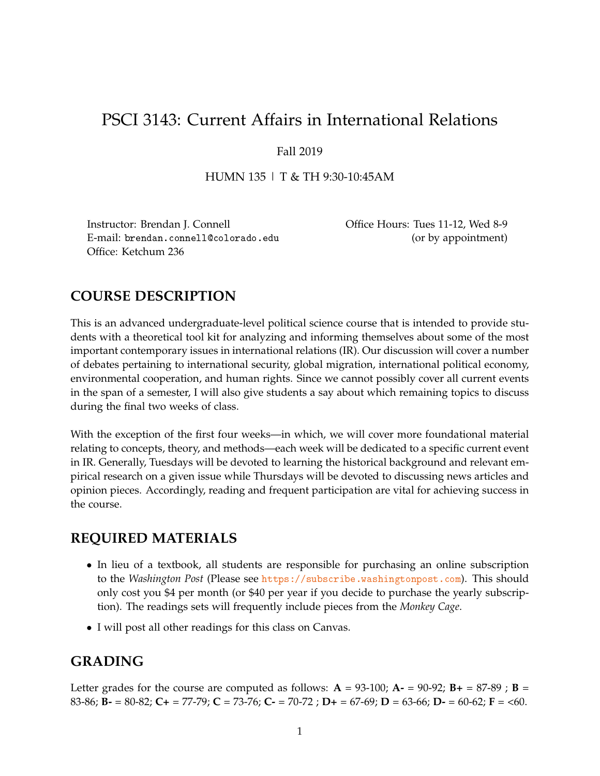# PSCI 3143: Current Affairs in International Relations

## Fall 2019

HUMN 135 | T & TH 9:30-10:45AM

Instructor: Brendan J. Connell Office Hours: Tues 11-12, Wed 8-9 E-mail: brendan.connell@colorado.edu (or by appointment) Office: Ketchum 236

# **COURSE DESCRIPTION**

This is an advanced undergraduate-level political science course that is intended to provide students with a theoretical tool kit for analyzing and informing themselves about some of the most important contemporary issues in international relations (IR). Our discussion will cover a number of debates pertaining to international security, global migration, international political economy, environmental cooperation, and human rights. Since we cannot possibly cover all current events in the span of a semester, I will also give students a say about which remaining topics to discuss during the final two weeks of class.

With the exception of the first four weeks—in which, we will cover more foundational material relating to concepts, theory, and methods—each week will be dedicated to a specific current event in IR. Generally, Tuesdays will be devoted to learning the historical background and relevant empirical research on a given issue while Thursdays will be devoted to discussing news articles and opinion pieces. Accordingly, reading and frequent participation are vital for achieving success in the course.

# **REQUIRED MATERIALS**

- In lieu of a textbook, all students are responsible for purchasing an online subscription to the *Washington Post* (Please see <https://subscribe.washingtonpost.com>). This should only cost you \$4 per month (or \$40 per year if you decide to purchase the yearly subscription). The readings sets will frequently include pieces from the *Monkey Cage*.
- I will post all other readings for this class on Canvas.

# **GRADING**

Letter grades for the course are computed as follows:  $A = 93{\text -}100$ ;  $A = 90{\text -}92$ ;  $B + 87{\text -}89$ ;  $B =$ 83-86; **B-** = 80-82; **C+** = 77-79; **C** = 73-76; **C-** = 70-72 ; **D+** = 67-69; **D** = 63-66; **D-** = 60-62; **F** = <60.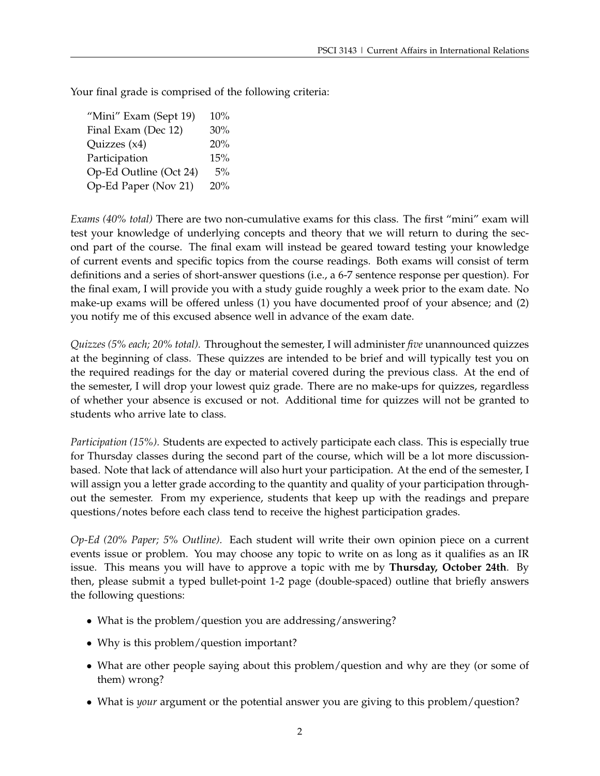Your final grade is comprised of the following criteria:

"Mini" Exam (Sept 19)  $10\%$ Final Exam (Dec 12) 30% Quizzes (x4) 20% Participation 15% Op-Ed Outline (Oct 24) 5% Op-Ed Paper (Nov 21) 20%

*Exams (40% total)* There are two non-cumulative exams for this class. The first "mini" exam will test your knowledge of underlying concepts and theory that we will return to during the second part of the course. The final exam will instead be geared toward testing your knowledge of current events and specific topics from the course readings. Both exams will consist of term definitions and a series of short-answer questions (i.e., a 6-7 sentence response per question). For the final exam, I will provide you with a study guide roughly a week prior to the exam date. No make-up exams will be offered unless (1) you have documented proof of your absence; and (2) you notify me of this excused absence well in advance of the exam date.

*Quizzes (5% each; 20% total).* Throughout the semester, I will administer *five* unannounced quizzes at the beginning of class. These quizzes are intended to be brief and will typically test you on the required readings for the day or material covered during the previous class. At the end of the semester, I will drop your lowest quiz grade. There are no make-ups for quizzes, regardless of whether your absence is excused or not. Additional time for quizzes will not be granted to students who arrive late to class.

*Participation (15%).* Students are expected to actively participate each class. This is especially true for Thursday classes during the second part of the course, which will be a lot more discussionbased. Note that lack of attendance will also hurt your participation. At the end of the semester, I will assign you a letter grade according to the quantity and quality of your participation throughout the semester. From my experience, students that keep up with the readings and prepare questions/notes before each class tend to receive the highest participation grades.

*Op-Ed (20% Paper; 5% Outline).* Each student will write their own opinion piece on a current events issue or problem. You may choose any topic to write on as long as it qualifies as an IR issue. This means you will have to approve a topic with me by **Thursday, October 24th**. By then, please submit a typed bullet-point 1-2 page (double-spaced) outline that briefly answers the following questions:

- What is the problem/question you are addressing/answering?
- Why is this problem/question important?
- What are other people saying about this problem/question and why are they (or some of them) wrong?
- What is *your* argument or the potential answer you are giving to this problem/question?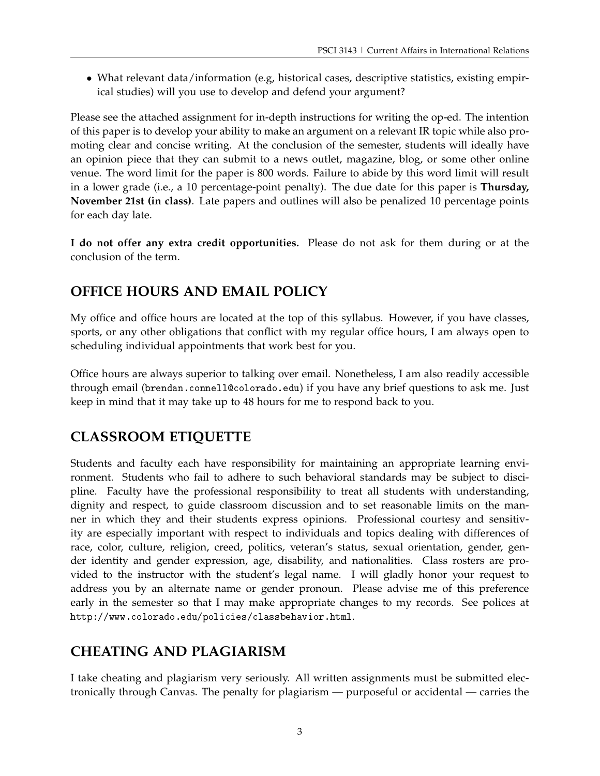• What relevant data/information (e.g, historical cases, descriptive statistics, existing empirical studies) will you use to develop and defend your argument?

Please see the attached assignment for in-depth instructions for writing the op-ed. The intention of this paper is to develop your ability to make an argument on a relevant IR topic while also promoting clear and concise writing. At the conclusion of the semester, students will ideally have an opinion piece that they can submit to a news outlet, magazine, blog, or some other online venue. The word limit for the paper is 800 words. Failure to abide by this word limit will result in a lower grade (i.e., a 10 percentage-point penalty). The due date for this paper is **Thursday, November 21st (in class)**. Late papers and outlines will also be penalized 10 percentage points for each day late.

**I do not offer any extra credit opportunities.** Please do not ask for them during or at the conclusion of the term.

# **OFFICE HOURS AND EMAIL POLICY**

My office and office hours are located at the top of this syllabus. However, if you have classes, sports, or any other obligations that conflict with my regular office hours, I am always open to scheduling individual appointments that work best for you.

Office hours are always superior to talking over email. Nonetheless, I am also readily accessible through email (brendan.connell@colorado.edu) if you have any brief questions to ask me. Just keep in mind that it may take up to 48 hours for me to respond back to you.

# **CLASSROOM ETIQUETTE**

Students and faculty each have responsibility for maintaining an appropriate learning environment. Students who fail to adhere to such behavioral standards may be subject to discipline. Faculty have the professional responsibility to treat all students with understanding, dignity and respect, to guide classroom discussion and to set reasonable limits on the manner in which they and their students express opinions. Professional courtesy and sensitivity are especially important with respect to individuals and topics dealing with differences of race, color, culture, religion, creed, politics, veteran's status, sexual orientation, gender, gender identity and gender expression, age, disability, and nationalities. Class rosters are provided to the instructor with the student's legal name. I will gladly honor your request to address you by an alternate name or gender pronoun. Please advise me of this preference early in the semester so that I may make appropriate changes to my records. See polices at http://www.colorado.edu/policies/classbehavior.html.

# **CHEATING AND PLAGIARISM**

I take cheating and plagiarism very seriously. All written assignments must be submitted electronically through Canvas. The penalty for plagiarism — purposeful or accidental — carries the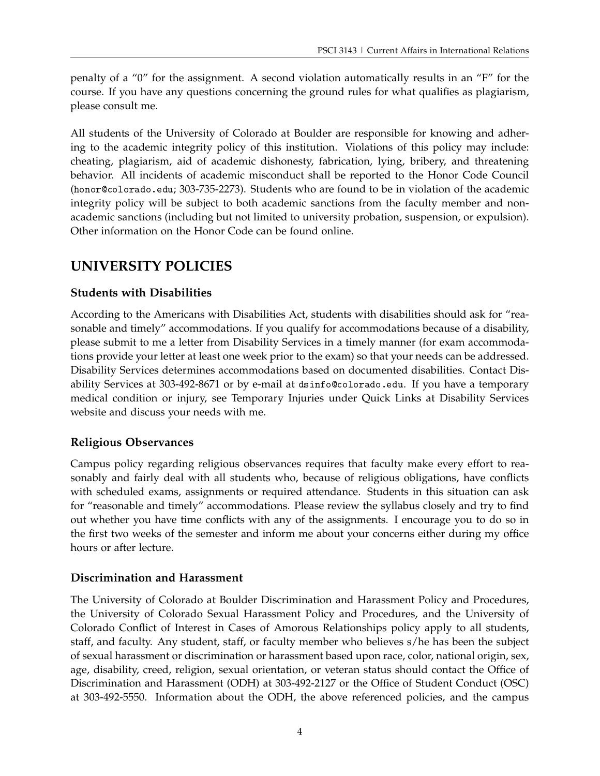penalty of a "0" for the assignment. A second violation automatically results in an "F" for the course. If you have any questions concerning the ground rules for what qualifies as plagiarism, please consult me.

All students of the University of Colorado at Boulder are responsible for knowing and adhering to the academic integrity policy of this institution. Violations of this policy may include: cheating, plagiarism, aid of academic dishonesty, fabrication, lying, bribery, and threatening behavior. All incidents of academic misconduct shall be reported to the Honor Code Council (honor@colorado.edu; 303-735-2273). Students who are found to be in violation of the academic integrity policy will be subject to both academic sanctions from the faculty member and nonacademic sanctions (including but not limited to university probation, suspension, or expulsion). Other information on the Honor Code can be found online.

# **UNIVERSITY POLICIES**

# **Students with Disabilities**

According to the Americans with Disabilities Act, students with disabilities should ask for "reasonable and timely" accommodations. If you qualify for accommodations because of a disability, please submit to me a letter from Disability Services in a timely manner (for exam accommodations provide your letter at least one week prior to the exam) so that your needs can be addressed. Disability Services determines accommodations based on documented disabilities. Contact Disability Services at 303-492-8671 or by e-mail at dsinfo@colorado.edu. If you have a temporary medical condition or injury, see Temporary Injuries under Quick Links at Disability Services website and discuss your needs with me.

# **Religious Observances**

Campus policy regarding religious observances requires that faculty make every effort to reasonably and fairly deal with all students who, because of religious obligations, have conflicts with scheduled exams, assignments or required attendance. Students in this situation can ask for "reasonable and timely" accommodations. Please review the syllabus closely and try to find out whether you have time conflicts with any of the assignments. I encourage you to do so in the first two weeks of the semester and inform me about your concerns either during my office hours or after lecture.

# **Discrimination and Harassment**

The University of Colorado at Boulder Discrimination and Harassment Policy and Procedures, the University of Colorado Sexual Harassment Policy and Procedures, and the University of Colorado Conflict of Interest in Cases of Amorous Relationships policy apply to all students, staff, and faculty. Any student, staff, or faculty member who believes s/he has been the subject of sexual harassment or discrimination or harassment based upon race, color, national origin, sex, age, disability, creed, religion, sexual orientation, or veteran status should contact the Office of Discrimination and Harassment (ODH) at 303-492-2127 or the Office of Student Conduct (OSC) at 303-492-5550. Information about the ODH, the above referenced policies, and the campus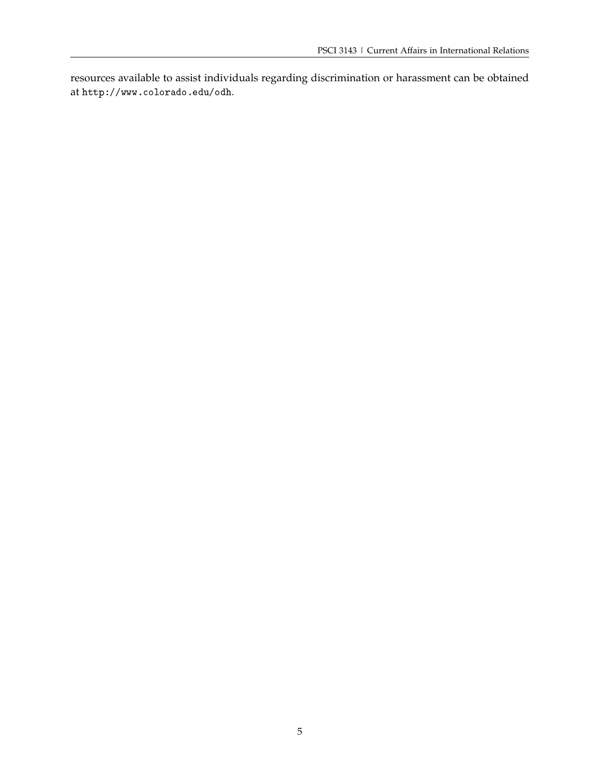resources available to assist individuals regarding discrimination or harassment can be obtained at http://www.colorado.edu/odh.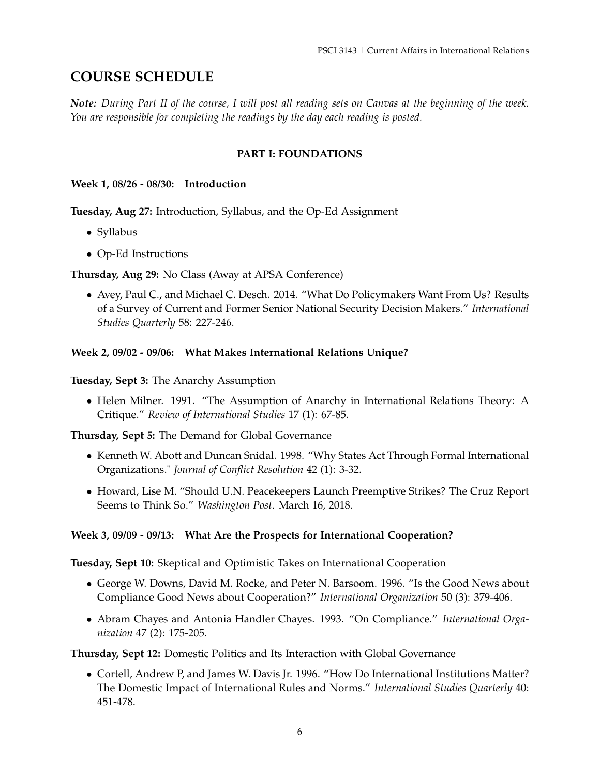# **COURSE SCHEDULE**

*Note: During Part II of the course, I will post all reading sets on Canvas at the beginning of the week. You are responsible for completing the readings by the day each reading is posted.*

# **PART I: FOUNDATIONS**

**Week 1, 08/26 - 08/30: Introduction**

**Tuesday, Aug 27:** Introduction, Syllabus, and the Op-Ed Assignment

- Syllabus
- Op-Ed Instructions

**Thursday, Aug 29:** No Class (Away at APSA Conference)

• Avey, Paul C., and Michael C. Desch. 2014. "What Do Policymakers Want From Us? Results of a Survey of Current and Former Senior National Security Decision Makers." *International Studies Quarterly* 58: 227-246.

## **Week 2, 09/02 - 09/06: What Makes International Relations Unique?**

**Tuesday, Sept 3:** The Anarchy Assumption

• Helen Milner. 1991. "The Assumption of Anarchy in International Relations Theory: A Critique." *Review of International Studies* 17 (1): 67-85.

**Thursday, Sept 5:** The Demand for Global Governance

- Kenneth W. Abott and Duncan Snidal. 1998. "Why States Act Through Formal International Organizations." *Journal of Conflict Resolution* 42 (1): 3-32.
- Howard, Lise M. "Should U.N. Peacekeepers Launch Preemptive Strikes? The Cruz Report Seems to Think So." *Washington Post*. March 16, 2018.

## **Week 3, 09/09 - 09/13: What Are the Prospects for International Cooperation?**

**Tuesday, Sept 10:** Skeptical and Optimistic Takes on International Cooperation

- George W. Downs, David M. Rocke, and Peter N. Barsoom. 1996. "Is the Good News about Compliance Good News about Cooperation?" *International Organization* 50 (3): 379-406.
- Abram Chayes and Antonia Handler Chayes. 1993. "On Compliance." *International Organization* 47 (2): 175-205.

## **Thursday, Sept 12:** Domestic Politics and Its Interaction with Global Governance

• Cortell, Andrew P, and James W. Davis Jr. 1996. "How Do International Institutions Matter? The Domestic Impact of International Rules and Norms." *International Studies Quarterly* 40: 451-478.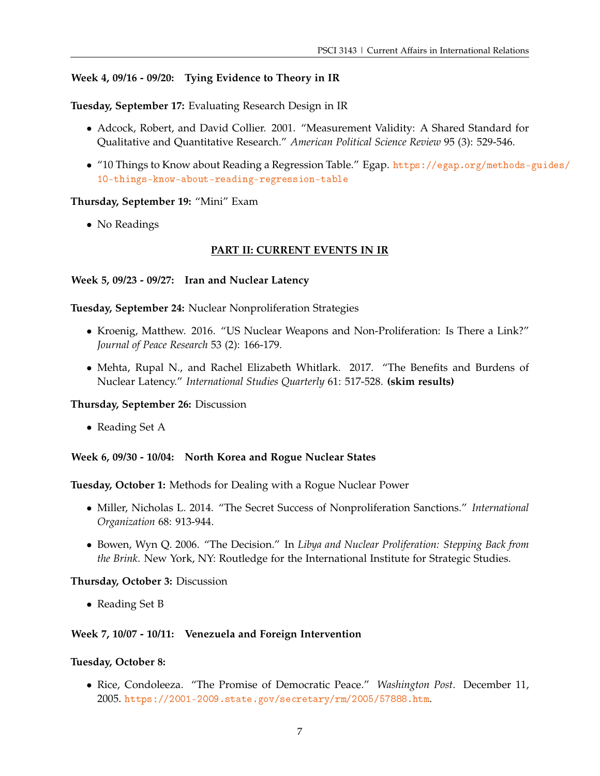### **Week 4, 09/16 - 09/20: Tying Evidence to Theory in IR**

**Tuesday, September 17:** Evaluating Research Design in IR

- Adcock, Robert, and David Collier. 2001. "Measurement Validity: A Shared Standard for Qualitative and Quantitative Research." *American Political Science Review* 95 (3): 529-546.
- "10 Things to Know about Reading a Regression Table." Egap. [https://egap.org/methods-](https://egap.org/methods-guides/10-things-know-about-reading-regression-table)guides/ [10-things-know-about-reading-regression-table](https://egap.org/methods-guides/10-things-know-about-reading-regression-table)

#### **Thursday, September 19:** "Mini" Exam

• No Readings

#### **PART II: CURRENT EVENTS IN IR**

#### **Week 5, 09/23 - 09/27: Iran and Nuclear Latency**

**Tuesday, September 24:** Nuclear Nonproliferation Strategies

- Kroenig, Matthew. 2016. "US Nuclear Weapons and Non-Proliferation: Is There a Link?" *Journal of Peace Research* 53 (2): 166-179.
- Mehta, Rupal N., and Rachel Elizabeth Whitlark. 2017. "The Benefits and Burdens of Nuclear Latency." *International Studies Quarterly* 61: 517-528. **(skim results)**

#### **Thursday, September 26:** Discussion

• Reading Set A

#### **Week 6, 09/30 - 10/04: North Korea and Rogue Nuclear States**

**Tuesday, October 1:** Methods for Dealing with a Rogue Nuclear Power

- Miller, Nicholas L. 2014. "The Secret Success of Nonproliferation Sanctions." *International Organization* 68: 913-944.
- Bowen, Wyn Q. 2006. "The Decision." In *Libya and Nuclear Proliferation: Stepping Back from the Brink*. New York, NY: Routledge for the International Institute for Strategic Studies.

#### **Thursday, October 3:** Discussion

• Reading Set B

#### **Week 7, 10/07 - 10/11: Venezuela and Foreign Intervention**

#### **Tuesday, October 8:**

• Rice, Condoleeza. "The Promise of Democratic Peace." *Washington Post*. December 11, 2005. <https://2001-2009.state.gov/secretary/rm/2005/57888.htm>.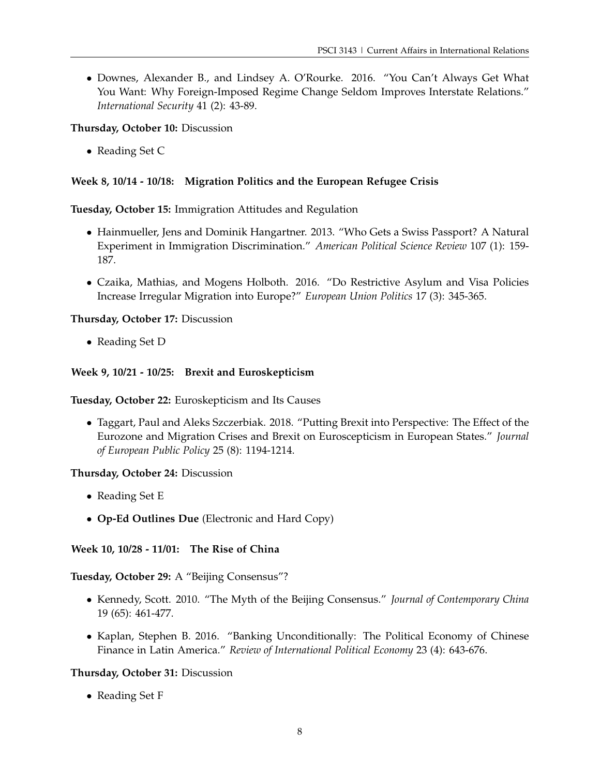• Downes, Alexander B., and Lindsey A. O'Rourke. 2016. "You Can't Always Get What You Want: Why Foreign-Imposed Regime Change Seldom Improves Interstate Relations." *International Security* 41 (2): 43-89.

### **Thursday, October 10:** Discussion

• Reading Set C

## **Week 8, 10/14 - 10/18: Migration Politics and the European Refugee Crisis**

### **Tuesday, October 15:** Immigration Attitudes and Regulation

- Hainmueller, Jens and Dominik Hangartner. 2013. "Who Gets a Swiss Passport? A Natural Experiment in Immigration Discrimination." *American Political Science Review* 107 (1): 159- 187.
- Czaika, Mathias, and Mogens Holboth. 2016. "Do Restrictive Asylum and Visa Policies Increase Irregular Migration into Europe?" *European Union Politics* 17 (3): 345-365.

### **Thursday, October 17:** Discussion

• Reading Set D

## **Week 9, 10/21 - 10/25: Brexit and Euroskepticism**

**Tuesday, October 22:** Euroskepticism and Its Causes

• Taggart, Paul and Aleks Szczerbiak. 2018. "Putting Brexit into Perspective: The Effect of the Eurozone and Migration Crises and Brexit on Euroscepticism in European States." *Journal of European Public Policy* 25 (8): 1194-1214.

### **Thursday, October 24:** Discussion

- Reading Set E
- **Op-Ed Outlines Due** (Electronic and Hard Copy)

**Week 10, 10/28 - 11/01: The Rise of China**

## **Tuesday, October 29:** A "Beijing Consensus"?

- Kennedy, Scott. 2010. "The Myth of the Beijing Consensus." *Journal of Contemporary China* 19 (65): 461-477.
- Kaplan, Stephen B. 2016. "Banking Unconditionally: The Political Economy of Chinese Finance in Latin America." *Review of International Political Economy* 23 (4): 643-676.

## **Thursday, October 31:** Discussion

• Reading Set F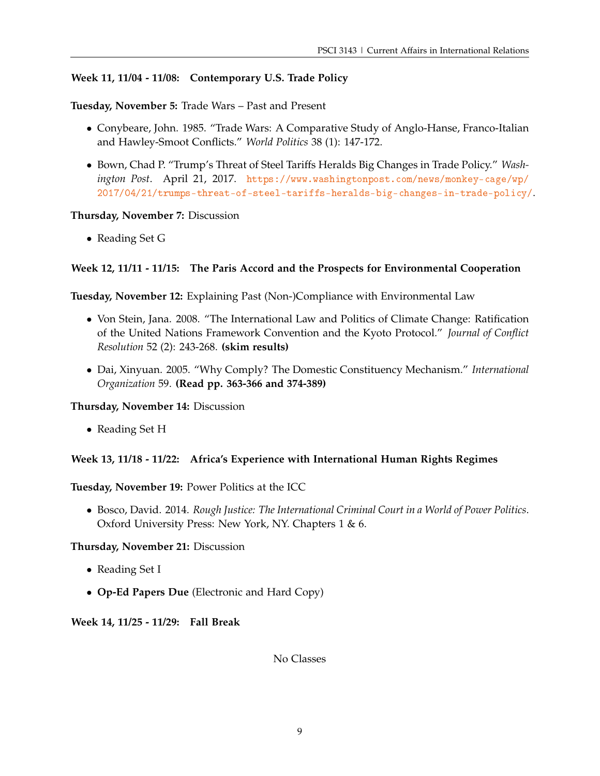#### **Week 11, 11/04 - 11/08: Contemporary U.S. Trade Policy**

**Tuesday, November 5:** Trade Wars – Past and Present

- Conybeare, John. 1985. "Trade Wars: A Comparative Study of Anglo-Hanse, Franco-Italian and Hawley-Smoot Conflicts." *World Politics* 38 (1): 147-172.
- Bown, Chad P. "Trump's Threat of Steel Tariffs Heralds Big Changes in Trade Policy." *Washington Post*. April 21, 2017. [https://www.washingtonpost.com/news/monkey-cage/wp/](https://www.washingtonpost.com/news/monkey-cage/wp/2017/04/21/trumps-threat-of-steel-tariffs-heralds-big-changes-in-trade-policy/) [2017/04/21/trumps-threat-of-steel-tariffs-heralds-big-changes-in-trade-policy/](https://www.washingtonpost.com/news/monkey-cage/wp/2017/04/21/trumps-threat-of-steel-tariffs-heralds-big-changes-in-trade-policy/).

#### **Thursday, November 7:** Discussion

• Reading Set G

#### **Week 12, 11/11 - 11/15: The Paris Accord and the Prospects for Environmental Cooperation**

**Tuesday, November 12:** Explaining Past (Non-)Compliance with Environmental Law

- Von Stein, Jana. 2008. "The International Law and Politics of Climate Change: Ratification of the United Nations Framework Convention and the Kyoto Protocol." *Journal of Conflict Resolution* 52 (2): 243-268. **(skim results)**
- Dai, Xinyuan. 2005. "Why Comply? The Domestic Constituency Mechanism." *International Organization* 59. **(Read pp. 363-366 and 374-389)**

**Thursday, November 14:** Discussion

• Reading Set H

#### **Week 13, 11/18 - 11/22: Africa's Experience with International Human Rights Regimes**

**Tuesday, November 19:** Power Politics at the ICC

• Bosco, David. 2014. *Rough Justice: The International Criminal Court in a World of Power Politics*. Oxford University Press: New York, NY. Chapters 1 & 6.

**Thursday, November 21:** Discussion

- Reading Set I
- **Op-Ed Papers Due** (Electronic and Hard Copy)

**Week 14, 11/25 - 11/29: Fall Break**

No Classes